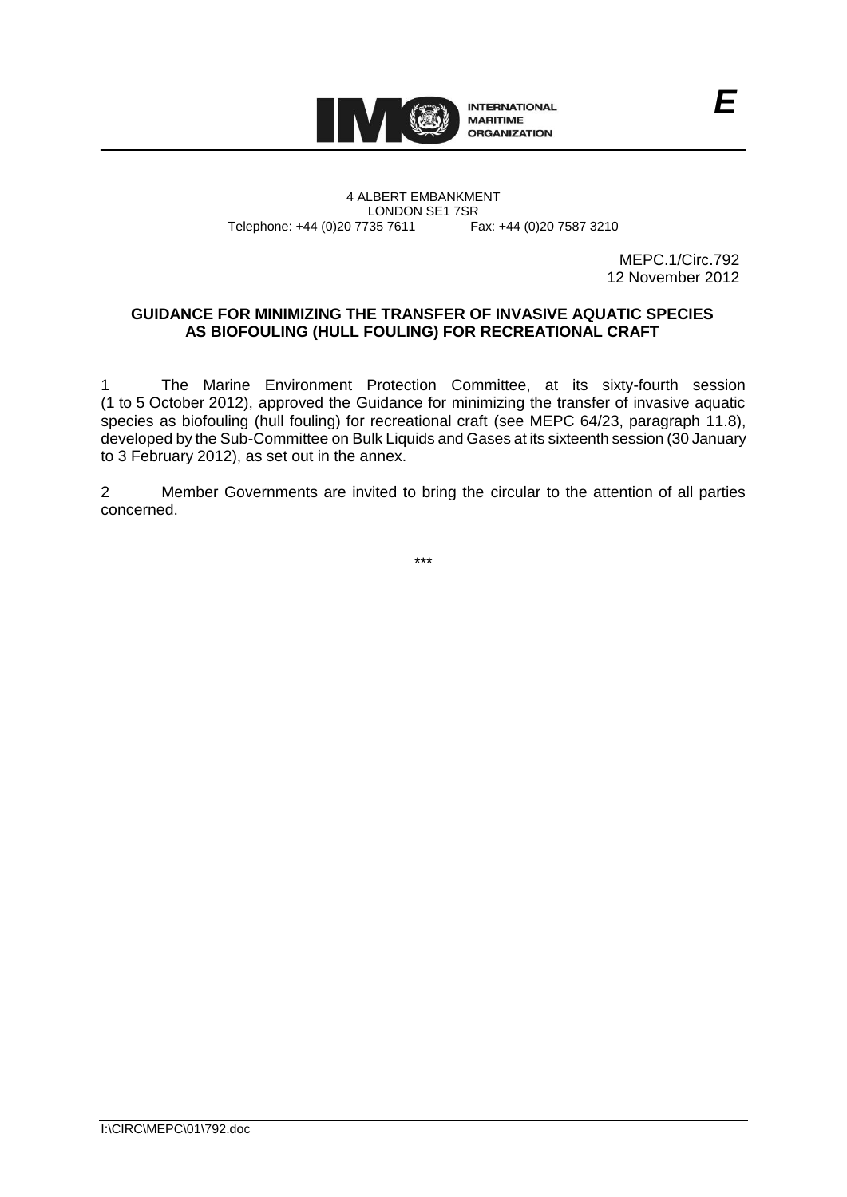

4 ALBERT EMBANKMENT Telephone: +44 (0)20 7735 7611

LONDON SE1 7SR<br>735 7611 Fax: +44 (0)20 7587 3210

MEPC.1/Circ.792 12 November 2012

# **GUIDANCE FOR MINIMIZING THE TRANSFER OF INVASIVE AQUATIC SPECIES AS BIOFOULING (HULL FOULING) FOR RECREATIONAL CRAFT**

1 The Marine Environment Protection Committee, at its sixty-fourth session (1 to 5 October 2012), approved the Guidance for minimizing the transfer of invasive aquatic species as biofouling (hull fouling) for recreational craft (see MEPC 64/23, paragraph 11.8), developed by the Sub-Committee on Bulk Liquids and Gases at its sixteenth session (30 January to 3 February 2012), as set out in the annex.

2 Member Governments are invited to bring the circular to the attention of all parties concerned.

\*\*\*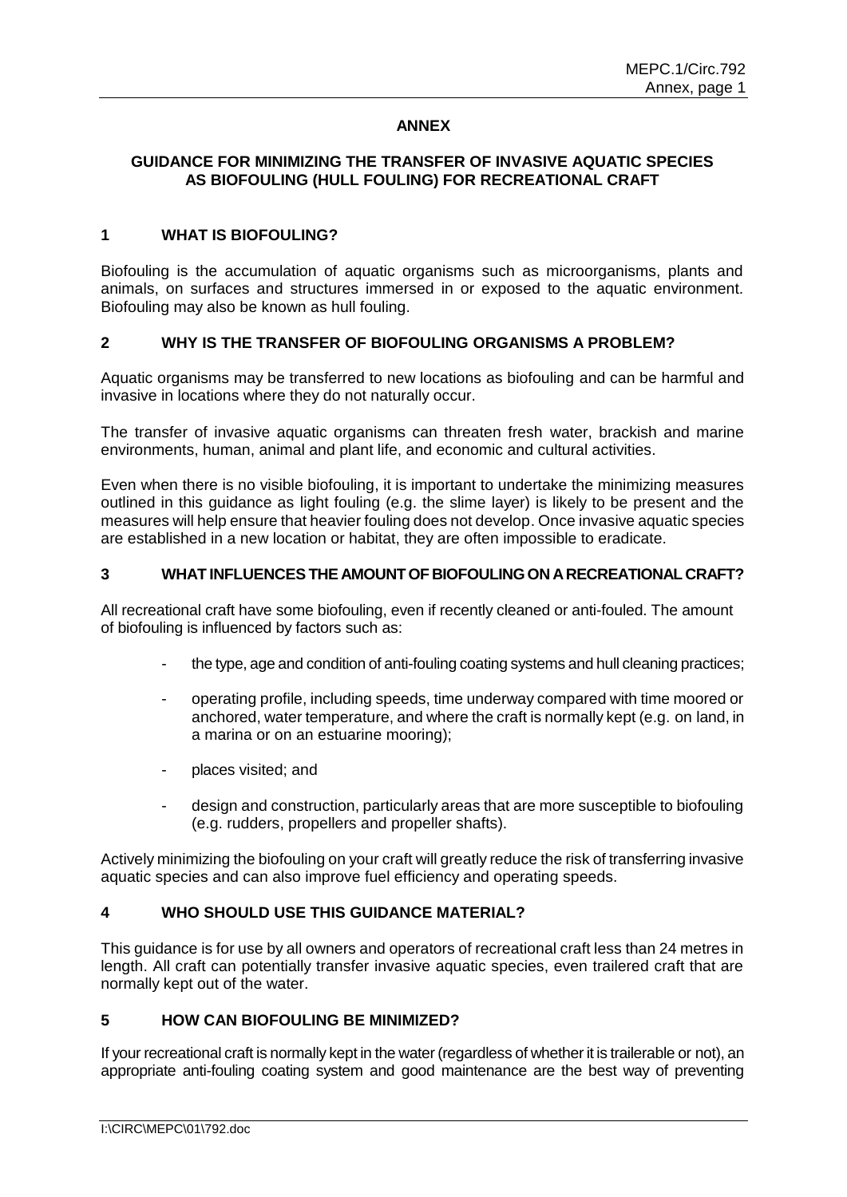## **ANNEX**

# **GUIDANCE FOR MINIMIZING THE TRANSFER OF INVASIVE AQUATIC SPECIES AS BIOFOULING (HULL FOULING) FOR RECREATIONAL CRAFT**

#### **1 WHAT IS BIOFOULING?**

Biofouling is the accumulation of aquatic organisms such as microorganisms, plants and animals, on surfaces and structures immersed in or exposed to the aquatic environment. Biofouling may also be known as hull fouling.

#### **2 WHY IS THE TRANSFER OF BIOFOULING ORGANISMS A PROBLEM?**

Aquatic organisms may be transferred to new locations as biofouling and can be harmful and invasive in locations where they do not naturally occur.

The transfer of invasive aquatic organisms can threaten fresh water, brackish and marine environments, human, animal and plant life, and economic and cultural activities.

Even when there is no visible biofouling, it is important to undertake the minimizing measures outlined in this guidance as light fouling (e.g. the slime layer) is likely to be present and the measures will help ensure that heavier fouling does not develop. Once invasive aquatic species are established in a new location or habitat, they are often impossible to eradicate.

#### **3 WHAT INFLUENCES THE AMOUNT OF BIOFOULING ON A RECREATIONAL CRAFT?**

All recreational craft have some biofouling, even if recently cleaned or anti-fouled. The amount of biofouling is influenced by factors such as:

- the type, age and condition of anti-fouling coating systems and hull cleaning practices;
- operating profile, including speeds, time underway compared with time moored or anchored, water temperature, and where the craft is normally kept (e.g. on land, in a marina or on an estuarine mooring);
- places visited; and
- design and construction, particularly areas that are more susceptible to biofouling (e.g. rudders, propellers and propeller shafts).

Actively minimizing the biofouling on your craft will greatly reduce the risk of transferring invasive aquatic species and can also improve fuel efficiency and operating speeds.

# **4 WHO SHOULD USE THIS GUIDANCE MATERIAL?**

This guidance is for use by all owners and operators of recreational craft less than 24 metres in length. All craft can potentially transfer invasive aquatic species, even trailered craft that are normally kept out of the water.

#### **5 HOW CAN BIOFOULING BE MINIMIZED?**

If your recreational craft is normally kept in the water (regardless of whether it is trailerable or not), an appropriate anti-fouling coating system and good maintenance are the best way of preventing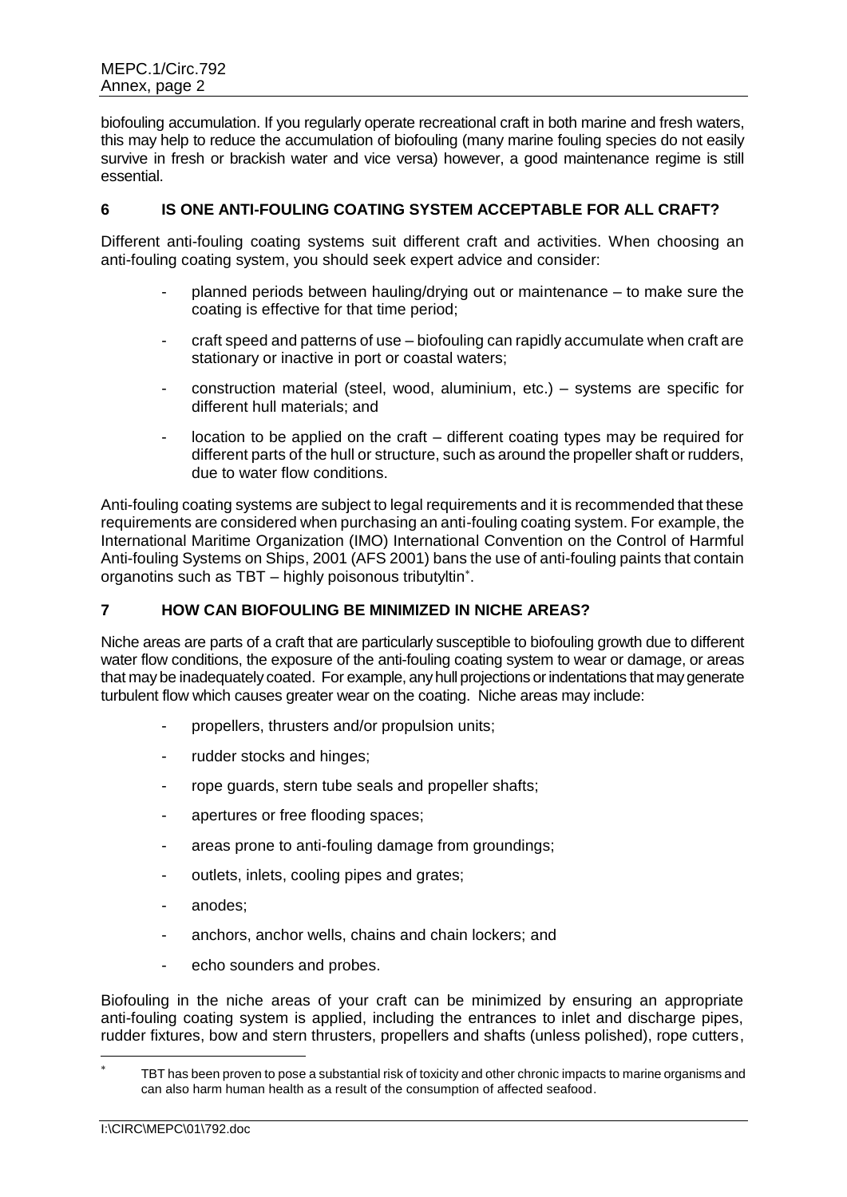biofouling accumulation. If you regularly operate recreational craft in both marine and fresh waters, this may help to reduce the accumulation of biofouling (many marine fouling species do not easily survive in fresh or brackish water and vice versa) however, a good maintenance regime is still essential.

## **6 IS ONE ANTI-FOULING COATING SYSTEM ACCEPTABLE FOR ALL CRAFT?**

Different anti-fouling coating systems suit different craft and activities. When choosing an anti-fouling coating system, you should seek expert advice and consider:

- planned periods between hauling/drying out or maintenance to make sure the coating is effective for that time period;
- craft speed and patterns of use biofouling can rapidly accumulate when craft are stationary or inactive in port or coastal waters;
- construction material (steel, wood, aluminium, etc.) systems are specific for different hull materials; and
- location to be applied on the craft different coating types may be required for different parts of the hull or structure, such as around the propeller shaft or rudders, due to water flow conditions.

Anti-fouling coating systems are subject to legal requirements and it is recommended that these requirements are considered when purchasing an anti-fouling coating system. For example, the International Maritime Organization (IMO) International Convention on the Control of Harmful Anti-fouling Systems on Ships, 2001 (AFS 2001) bans the use of anti-fouling paints that contain organotins such as TBT – highly poisonous tributyltin .

# **7 HOW CAN BIOFOULING BE MINIMIZED IN NICHE AREAS?**

Niche areas are parts of a craft that are particularly susceptible to biofouling growth due to different water flow conditions, the exposure of the anti-fouling coating system to wear or damage, or areas that may be inadequately coated. For example, any hull projections or indentations that may generate turbulent flow which causes greater wear on the coating. Niche areas may include:

- propellers, thrusters and/or propulsion units;
- rudder stocks and hinges;
- rope guards, stern tube seals and propeller shafts;
- apertures or free flooding spaces;
- areas prone to anti-fouling damage from groundings:
- outlets, inlets, cooling pipes and grates;
- anodes:
- anchors, anchor wells, chains and chain lockers; and
- echo sounders and probes.

Biofouling in the niche areas of your craft can be minimized by ensuring an appropriate anti-fouling coating system is applied, including the entrances to inlet and discharge pipes, rudder fixtures, bow and stern thrusters, propellers and shafts (unless polished), rope cutters,

<sup>\*</sup> TBT has been proven to pose a substantial risk of toxicity and other chronic impacts to marine organisms and can also harm human health as a result of the consumption of affected seafood.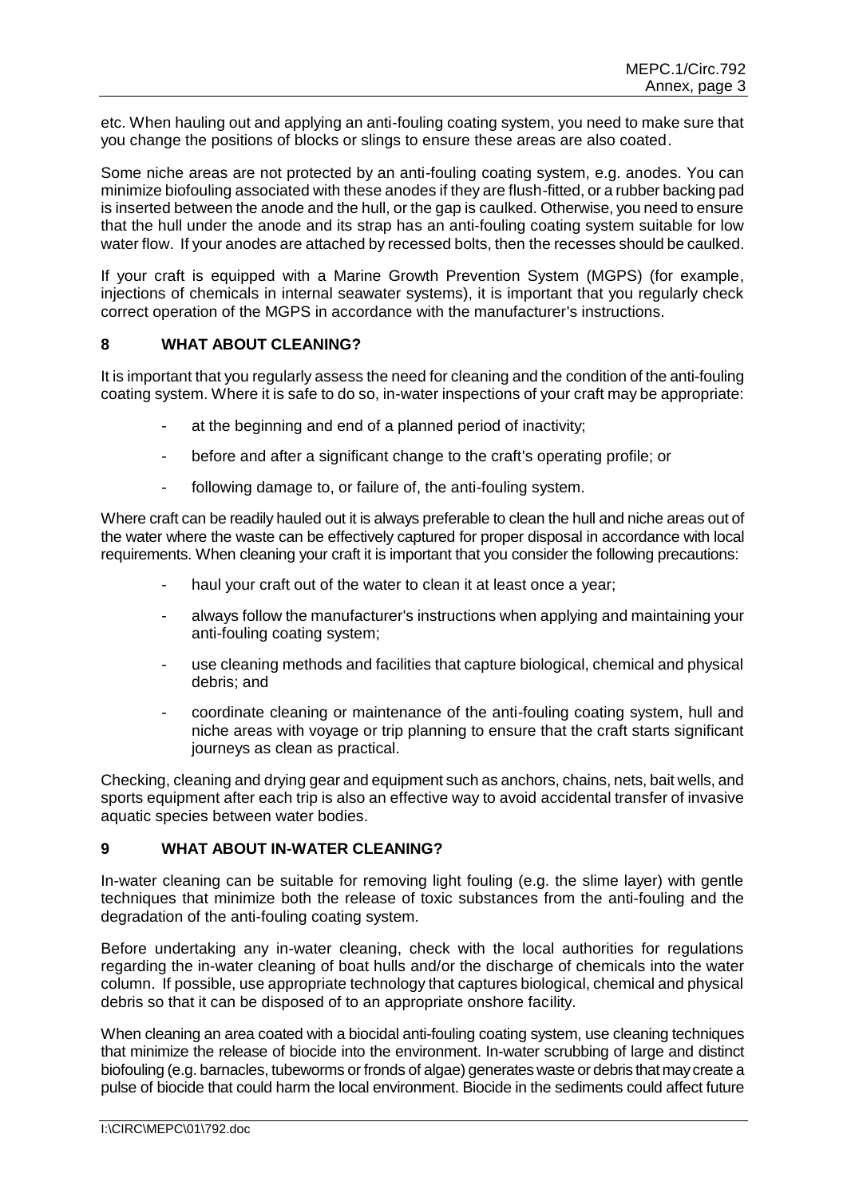etc. When hauling out and applying an anti-fouling coating system, you need to make sure that you change the positions of blocks or slings to ensure these areas are also coated.

Some niche areas are not protected by an anti-fouling coating system, e.g. anodes. You can minimize biofouling associated with these anodes if they are flush-fitted, or a rubber backing pad is inserted between the anode and the hull, or the gap is caulked. Otherwise, you need to ensure that the hull under the anode and its strap has an anti-fouling coating system suitable for low water flow. If your anodes are attached by recessed bolts, then the recesses should be caulked.

If your craft is equipped with a Marine Growth Prevention System (MGPS) (for example, injections of chemicals in internal seawater systems), it is important that you regularly check correct operation of the MGPS in accordance with the manufacturer's instructions.

#### **8 WHAT ABOUT CLEANING?**

It is important that you regularly assess the need for cleaning and the condition of the anti-fouling coating system. Where it is safe to do so, in-water inspections of your craft may be appropriate:

- at the beginning and end of a planned period of inactivity;
- before and after a significant change to the craft's operating profile; or
- following damage to, or failure of, the anti-fouling system.

Where craft can be readily hauled out it is always preferable to clean the hull and niche areas out of the water where the waste can be effectively captured for proper disposal in accordance with local requirements. When cleaning your craft it is important that you consider the following precautions:

- haul your craft out of the water to clean it at least once a year;
- always follow the manufacturer's instructions when applying and maintaining your anti-fouling coating system;
- use cleaning methods and facilities that capture biological, chemical and physical debris; and
- coordinate cleaning or maintenance of the anti-fouling coating system, hull and niche areas with voyage or trip planning to ensure that the craft starts significant journeys as clean as practical.

Checking, cleaning and drying gear and equipment such as anchors, chains, nets, bait wells, and sports equipment after each trip is also an effective way to avoid accidental transfer of invasive aquatic species between water bodies.

# **9 WHAT ABOUT IN-WATER CLEANING?**

In-water cleaning can be suitable for removing light fouling (e.g. the slime layer) with gentle techniques that minimize both the release of toxic substances from the anti-fouling and the degradation of the anti-fouling coating system.

Before undertaking any in-water cleaning, check with the local authorities for regulations regarding the in-water cleaning of boat hulls and/or the discharge of chemicals into the water column. If possible, use appropriate technology that captures biological, chemical and physical debris so that it can be disposed of to an appropriate onshore facility.

When cleaning an area coated with a biocidal anti-fouling coating system, use cleaning techniques that minimize the release of biocide into the environment. In-water scrubbing of large and distinct biofouling (e.g. barnacles, tubeworms or fronds of algae) generates waste or debris that may create a pulse of biocide that could harm the local environment. Biocide in the sediments could affect future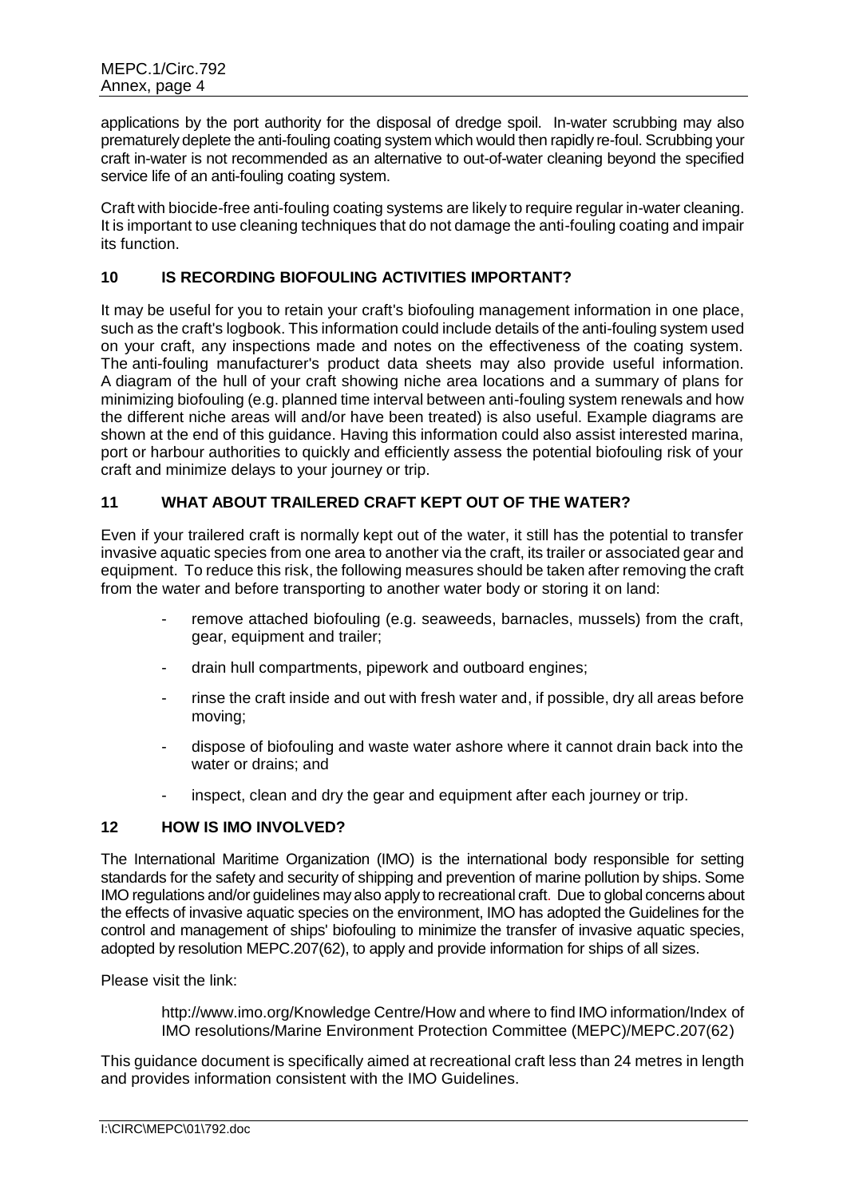applications by the port authority for the disposal of dredge spoil. In-water scrubbing may also prematurely deplete the anti-fouling coating system which would then rapidly re-foul. Scrubbing your craft in-water is not recommended as an alternative to out-of-water cleaning beyond the specified service life of an anti-fouling coating system.

Craft with biocide-free anti-fouling coating systems are likely to require regular in-water cleaning. It is important to use cleaning techniques that do not damage the anti-fouling coating and impair its function.

# **10 IS RECORDING BIOFOULING ACTIVITIES IMPORTANT?**

It may be useful for you to retain your craft's biofouling management information in one place, such as the craft's logbook. This information could include details of the anti-fouling system used on your craft, any inspections made and notes on the effectiveness of the coating system. The anti-fouling manufacturer's product data sheets may also provide useful information. A diagram of the hull of your craft showing niche area locations and a summary of plans for minimizing biofouling (e.g. planned time interval between anti-fouling system renewals and how the different niche areas will and/or have been treated) is also useful. Example diagrams are shown at the end of this guidance. Having this information could also assist interested marina, port or harbour authorities to quickly and efficiently assess the potential biofouling risk of your craft and minimize delays to your journey or trip.

#### **11 WHAT ABOUT TRAILERED CRAFT KEPT OUT OF THE WATER?**

Even if your trailered craft is normally kept out of the water, it still has the potential to transfer invasive aquatic species from one area to another via the craft, its trailer or associated gear and equipment. To reduce this risk, the following measures should be taken after removing the craft from the water and before transporting to another water body or storing it on land:

- remove attached biofouling (e.g. seaweeds, barnacles, mussels) from the craft, gear, equipment and trailer;
- drain hull compartments, pipework and outboard engines;
- rinse the craft inside and out with fresh water and, if possible, dry all areas before moving;
- dispose of biofouling and waste water ashore where it cannot drain back into the water or drains; and
- inspect, clean and dry the gear and equipment after each journey or trip.

#### **12 HOW IS IMO INVOLVED?**

The International Maritime Organization (IMO) is the international body responsible for setting standards for the safety and security of shipping and prevention of marine pollution by ships. Some IMO regulations and/or guidelines may also apply to recreational craft. Due to global concerns about the effects of invasive aquatic species on the environment, IMO has adopted the Guidelines for the control and management of ships' biofouling to minimize the transfer of invasive aquatic species, adopted by resolution MEPC.207(62), to apply and provide information for ships of all sizes.

Please visit the link:

http://www.imo.org/Knowledge Centre/How and where to find IMO information/Index of IMO resolutions/Marine Environment Protection Committee (MEPC)/MEPC.207(62)

This guidance document is specifically aimed at recreational craft less than 24 metres in length and provides information consistent with the IMO Guidelines.